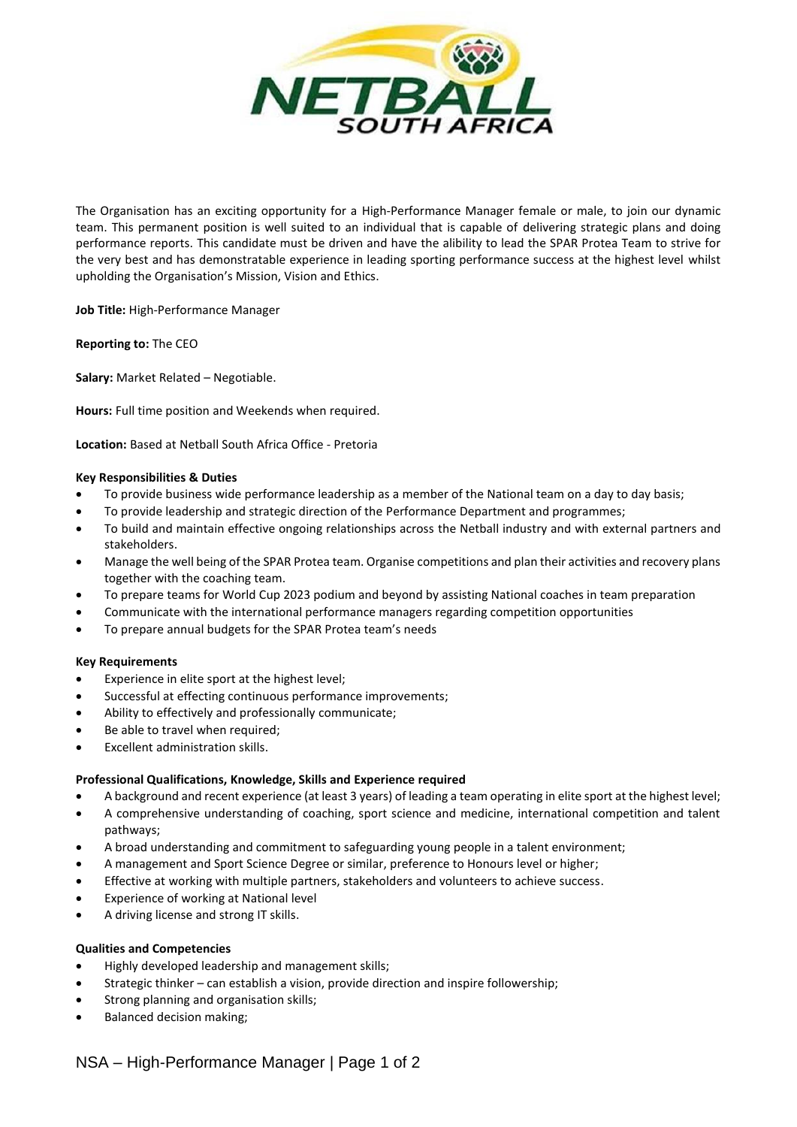

The Organisation has an exciting opportunity for a High-Performance Manager female or male, to join our dynamic team. This permanent position is well suited to an individual that is capable of delivering strategic plans and doing performance reports. This candidate must be driven and have the alibility to lead the SPAR Protea Team to strive for the very best and has demonstratable experience in leading sporting performance success at the highest level whilst upholding the Organisation's Mission, Vision and Ethics.

**Job Title:** High-Performance Manager

**Reporting to:** The CEO

**Salary:** Market Related – Negotiable.

**Hours:** Full time position and Weekends when required.

**Location:** Based at Netball South Africa Office - Pretoria

### **Key Responsibilities & Duties**

- To provide business wide performance leadership as a member of the National team on a day to day basis;
- To provide leadership and strategic direction of the Performance Department and programmes;
- To build and maintain effective ongoing relationships across the Netball industry and with external partners and stakeholders.
- Manage the well being of the SPAR Protea team. Organise competitions and plan their activities and recovery plans together with the coaching team.
- To prepare teams for World Cup 2023 podium and beyond by assisting National coaches in team preparation
- Communicate with the international performance managers regarding competition opportunities
- To prepare annual budgets for the SPAR Protea team's needs

### **Key Requirements**

- Experience in elite sport at the highest level;
- Successful at effecting continuous performance improvements;
- Ability to effectively and professionally communicate;
- Be able to travel when required;
- Excellent administration skills.

### **Professional Qualifications, Knowledge, Skills and Experience required**

- A background and recent experience (at least 3 years) of leading a team operating in elite sport at the highest level;
- A comprehensive understanding of coaching, sport science and medicine, international competition and talent pathways;
- A broad understanding and commitment to safeguarding young people in a talent environment;
- A management and Sport Science Degree or similar, preference to Honours level or higher;
- Effective at working with multiple partners, stakeholders and volunteers to achieve success.
- Experience of working at National level
- A driving license and strong IT skills.

## **Qualities and Competencies**

- Highly developed leadership and management skills;
- Strategic thinker can establish a vision, provide direction and inspire followership;
- Strong planning and organisation skills;
- Balanced decision making;